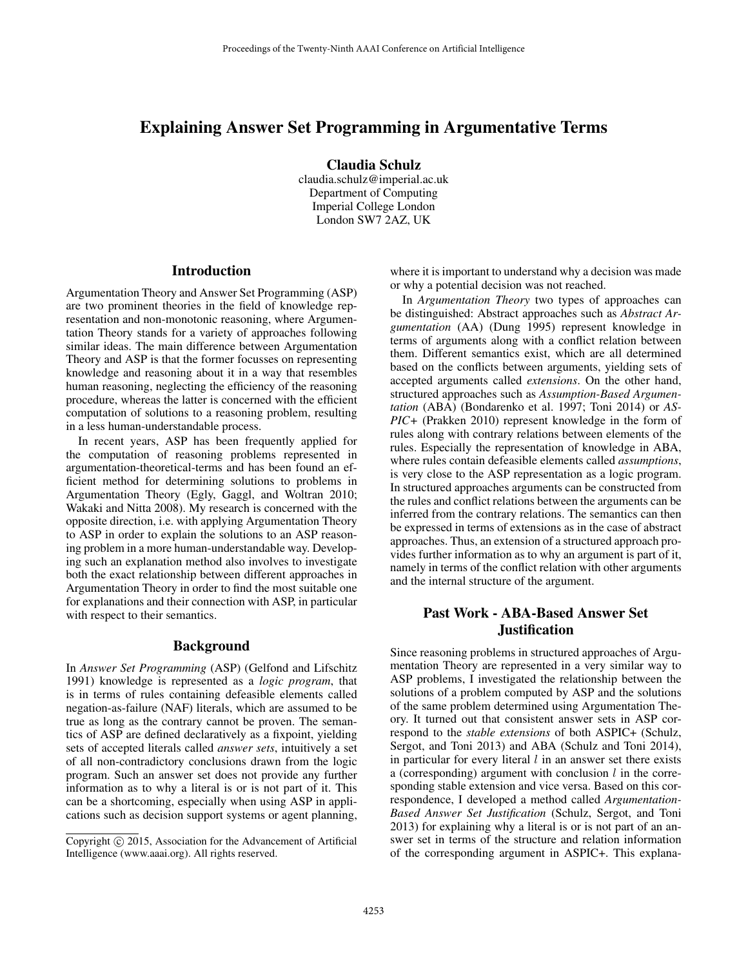# Explaining Answer Set Programming in Argumentative Terms

Claudia Schulz

claudia.schulz@imperial.ac.uk Department of Computing Imperial College London London SW7 2AZ, UK

## **Introduction**

Argumentation Theory and Answer Set Programming (ASP) are two prominent theories in the field of knowledge representation and non-monotonic reasoning, where Argumentation Theory stands for a variety of approaches following similar ideas. The main difference between Argumentation Theory and ASP is that the former focusses on representing knowledge and reasoning about it in a way that resembles human reasoning, neglecting the efficiency of the reasoning procedure, whereas the latter is concerned with the efficient computation of solutions to a reasoning problem, resulting in a less human-understandable process.

In recent years, ASP has been frequently applied for the computation of reasoning problems represented in argumentation-theoretical-terms and has been found an efficient method for determining solutions to problems in Argumentation Theory (Egly, Gaggl, and Woltran 2010; Wakaki and Nitta 2008). My research is concerned with the opposite direction, i.e. with applying Argumentation Theory to ASP in order to explain the solutions to an ASP reasoning problem in a more human-understandable way. Developing such an explanation method also involves to investigate both the exact relationship between different approaches in Argumentation Theory in order to find the most suitable one for explanations and their connection with ASP, in particular with respect to their semantics.

### Background

In *Answer Set Programming* (ASP) (Gelfond and Lifschitz 1991) knowledge is represented as a *logic program*, that is in terms of rules containing defeasible elements called negation-as-failure (NAF) literals, which are assumed to be true as long as the contrary cannot be proven. The semantics of ASP are defined declaratively as a fixpoint, yielding sets of accepted literals called *answer sets*, intuitively a set of all non-contradictory conclusions drawn from the logic program. Such an answer set does not provide any further information as to why a literal is or is not part of it. This can be a shortcoming, especially when using ASP in applications such as decision support systems or agent planning,

where it is important to understand why a decision was made or why a potential decision was not reached.

In *Argumentation Theory* two types of approaches can be distinguished: Abstract approaches such as *Abstract Argumentation* (AA) (Dung 1995) represent knowledge in terms of arguments along with a conflict relation between them. Different semantics exist, which are all determined based on the conflicts between arguments, yielding sets of accepted arguments called *extensions*. On the other hand, structured approaches such as *Assumption-Based Argumentation* (ABA) (Bondarenko et al. 1997; Toni 2014) or *AS-PIC+* (Prakken 2010) represent knowledge in the form of rules along with contrary relations between elements of the rules. Especially the representation of knowledge in ABA, where rules contain defeasible elements called *assumptions*, is very close to the ASP representation as a logic program. In structured approaches arguments can be constructed from the rules and conflict relations between the arguments can be inferred from the contrary relations. The semantics can then be expressed in terms of extensions as in the case of abstract approaches. Thus, an extension of a structured approach provides further information as to why an argument is part of it, namely in terms of the conflict relation with other arguments and the internal structure of the argument.

# Past Work - ABA-Based Answer Set **Justification**

Since reasoning problems in structured approaches of Argumentation Theory are represented in a very similar way to ASP problems, I investigated the relationship between the solutions of a problem computed by ASP and the solutions of the same problem determined using Argumentation Theory. It turned out that consistent answer sets in ASP correspond to the *stable extensions* of both ASPIC+ (Schulz, Sergot, and Toni 2013) and ABA (Schulz and Toni 2014), in particular for every literal  $l$  in an answer set there exists a (corresponding) argument with conclusion  $l$  in the corresponding stable extension and vice versa. Based on this correspondence, I developed a method called *Argumentation-Based Answer Set Justification* (Schulz, Sergot, and Toni 2013) for explaining why a literal is or is not part of an answer set in terms of the structure and relation information of the corresponding argument in ASPIC+. This explana-

Copyright © 2015, Association for the Advancement of Artificial Intelligence (www.aaai.org). All rights reserved.